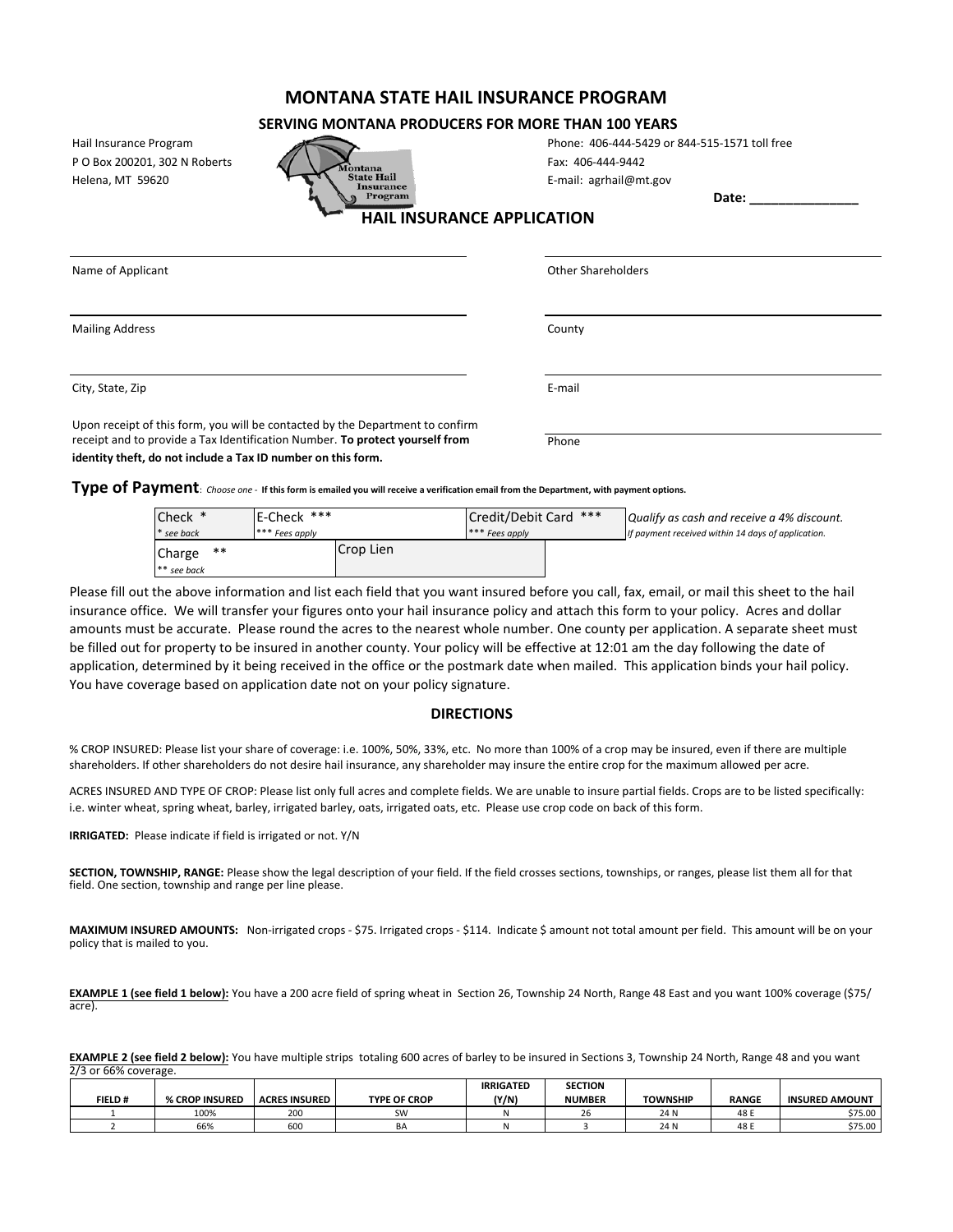## **MONTANA STATE HAIL INSURANCE PROGRAM**

## **SERVING MONTANA PRODUCERS FOR MORE THAN 100 YEARS**

Hail Insurance Program P O Box 200201, 302 N Roberts

| Hail Insurance Program        |                                                     | Phone: 406-444-5429 or       |
|-------------------------------|-----------------------------------------------------|------------------------------|
| P O Box 200201, 302 N Roberts | Montana                                             | Fax: 406-444-9442            |
| Helena. MT 59620              | <b>State Hail</b><br><i><u><b>Insurance</b></u></i> | E-mail: agrhail@mt.gov       |
|                               | Program                                             |                              |
|                               |                                                     | <b>INCHRANCE ADDITCATION</b> |

| Phone: 406-444-5429 or 844-515-1571 toll free |
|-----------------------------------------------|
| Fax: 406-444-9442                             |
| - 1 1 2 3                                     |

**Date: \_\_\_\_\_\_\_\_\_\_\_\_\_\_\_**

 **HAIL INSURANCE APPLICATION**

| Name of Applicant                                                             | Other Shareholders |  |
|-------------------------------------------------------------------------------|--------------------|--|
|                                                                               |                    |  |
| <b>Mailing Address</b>                                                        | County             |  |
|                                                                               |                    |  |
| City, State, Zip                                                              | E-mail             |  |
| Upon receipt of this form, you will be contacted by the Department to confirm |                    |  |
| receipt and to provide a Tax Identification Number. To protect yourself from  | Phone              |  |
| identity theft, do not include a Tax ID number on this form.                  |                    |  |

**Type of Payment**: *Choose one -* **If this form is emailed you will receive a verification email from the Department, with payment options.**

| Check *             | E-Check ***    |           | Credit/Debit Card *** |  | Qualify as cash and receive a 4% discount.         |  |  |
|---------------------|----------------|-----------|-----------------------|--|----------------------------------------------------|--|--|
| * see back          | *** Fees apply |           | *** Fees apply        |  | If payment received within 14 days of application. |  |  |
| **<br><b>Charge</b> |                | Crop Lien |                       |  |                                                    |  |  |
| $**$ see back       |                |           |                       |  |                                                    |  |  |

Please fill out the above information and list each field that you want insured before you call, fax, email, or mail this sheet to the hail insurance office. We will transfer your figures onto your hail insurance policy and attach this form to your policy. Acres and dollar amounts must be accurate. Please round the acres to the nearest whole number. One county per application. A separate sheet must be filled out for property to be insured in another county. Your policy will be effective at 12:01 am the day following the date of application, determined by it being received in the office or the postmark date when mailed. This application binds your hail policy. You have coverage based on application date not on your policy signature.

## **DIRECTIONS**

% CROP INSURED: Please list your share of coverage: i.e. 100%, 50%, 33%, etc. No more than 100% of a crop may be insured, even if there are multiple shareholders. If other shareholders do not desire hail insurance, any shareholder may insure the entire crop for the maximum allowed per acre.

ACRES INSURED AND TYPE OF CROP: Please list only full acres and complete fields. We are unable to insure partial fields. Crops are to be listed specifically: i.e. winter wheat, spring wheat, barley, irrigated barley, oats, irrigated oats, etc. Please use crop code on back of this form.

**IRRIGATED:** Please indicate if field is irrigated or not. Y/N

**SECTION, TOWNSHIP, RANGE:** Please show the legal description of your field. If the field crosses sections, townships, or ranges, please list them all for that field. One section, township and range per line please.

**MAXIMUM INSURED AMOUNTS:** Non-irrigated crops - \$75. Irrigated crops - \$114. Indicate \$ amount not total amount per field. This amount will be on your policy that is mailed to you.

**EXAMPLE 1 (see field 1 below):** You have a 200 acre field of spring wheat in Section 26, Township 24 North, Range 48 East and you want 100% coverage (\$75/ acre).

**EXAMPLE 2 (see field 2 below):** You have multiple strips totaling 600 acres of barley to be insured in Sections 3, Township 24 North, Range 48 and you want 2/3 or 66% coverage.

|               |                |                      |                     | <b>IRRIGATED</b> | <b>SECTION</b> |                 |              |                       |
|---------------|----------------|----------------------|---------------------|------------------|----------------|-----------------|--------------|-----------------------|
| <b>FIELD#</b> | % CROP INSURED | <b>ACRES INSURED</b> | <b>TYPE OF CROP</b> | (Y/N)            | <b>NUMBER</b>  | <b>TOWNSHIP</b> | <b>RANGE</b> | <b>INSURED AMOUNT</b> |
|               | 100%           | 200                  | SW                  |                  |                | 24 N            | 48 F         | \$75.00               |
|               | 66%            | 600                  | BΑ                  |                  |                | 24 N            | 48 E         | \$75.00               |